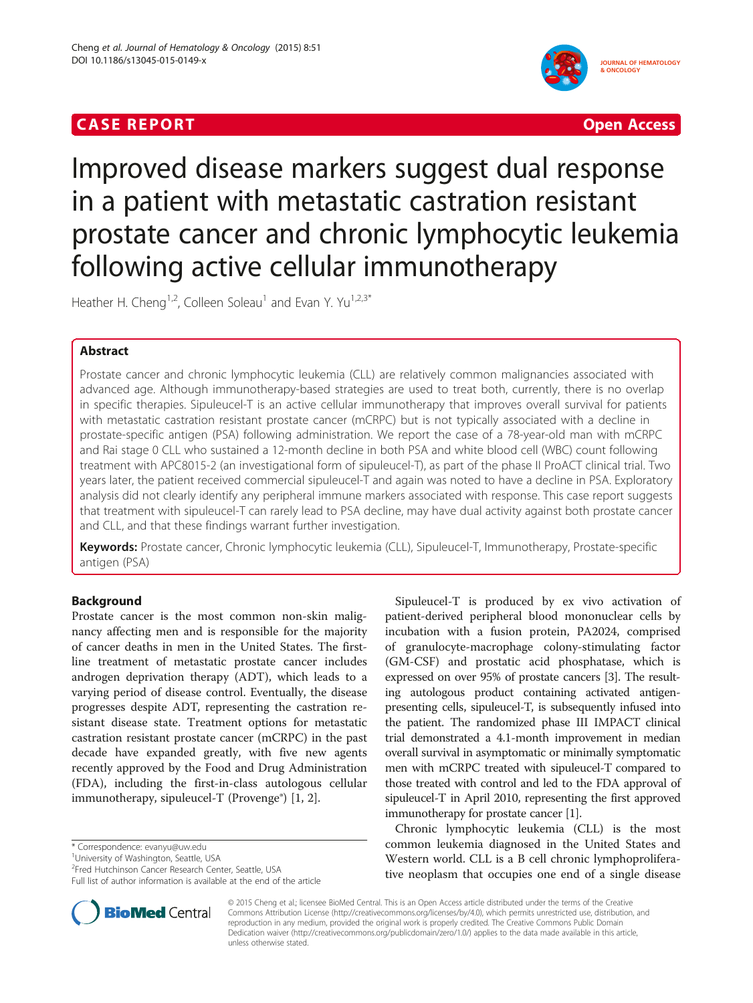# **CASE REPORT CASE REPORT CASE REPORT**



# Improved disease markers suggest dual response in a patient with metastatic castration resistant prostate cancer and chronic lymphocytic leukemia following active cellular immunotherapy

Heather H. Cheng<sup>1,2</sup>, Colleen Soleau<sup>1</sup> and Evan Y. Yu<sup>1,2,3\*</sup>

# Abstract

Prostate cancer and chronic lymphocytic leukemia (CLL) are relatively common malignancies associated with advanced age. Although immunotherapy-based strategies are used to treat both, currently, there is no overlap in specific therapies. Sipuleucel-T is an active cellular immunotherapy that improves overall survival for patients with metastatic castration resistant prostate cancer (mCRPC) but is not typically associated with a decline in prostate-specific antigen (PSA) following administration. We report the case of a 78-year-old man with mCRPC and Rai stage 0 CLL who sustained a 12-month decline in both PSA and white blood cell (WBC) count following treatment with APC8015-2 (an investigational form of sipuleucel-T), as part of the phase II ProACT clinical trial. Two years later, the patient received commercial sipuleucel-T and again was noted to have a decline in PSA. Exploratory analysis did not clearly identify any peripheral immune markers associated with response. This case report suggests that treatment with sipuleucel-T can rarely lead to PSA decline, may have dual activity against both prostate cancer and CLL, and that these findings warrant further investigation.

Keywords: Prostate cancer, Chronic lymphocytic leukemia (CLL), Sipuleucel-T, Immunotherapy, Prostate-specific antigen (PSA)

# Background

Prostate cancer is the most common non-skin malignancy affecting men and is responsible for the majority of cancer deaths in men in the United States. The firstline treatment of metastatic prostate cancer includes androgen deprivation therapy (ADT), which leads to a varying period of disease control. Eventually, the disease progresses despite ADT, representing the castration resistant disease state. Treatment options for metastatic castration resistant prostate cancer (mCRPC) in the past decade have expanded greatly, with five new agents recently approved by the Food and Drug Administration (FDA), including the first-in-class autologous cellular immunotherapy, sipuleucel-T (Provenge<sup>®</sup>) [\[1](#page-4-0), [2](#page-4-0)].

Sipuleucel-T is produced by ex vivo activation of patient-derived peripheral blood mononuclear cells by incubation with a fusion protein, PA2024, comprised of granulocyte-macrophage colony-stimulating factor (GM-CSF) and prostatic acid phosphatase, which is expressed on over 95% of prostate cancers [\[3\]](#page-4-0). The resulting autologous product containing activated antigenpresenting cells, sipuleucel-T, is subsequently infused into the patient. The randomized phase III IMPACT clinical trial demonstrated a 4.1-month improvement in median overall survival in asymptomatic or minimally symptomatic men with mCRPC treated with sipuleucel-T compared to those treated with control and led to the FDA approval of sipuleucel-T in April 2010, representing the first approved immunotherapy for prostate cancer [[1](#page-4-0)].

Chronic lymphocytic leukemia (CLL) is the most common leukemia diagnosed in the United States and Western world. CLL is a B cell chronic lymphoproliferative neoplasm that occupies one end of a single disease



© 2015 Cheng et al.; licensee BioMed Central. This is an Open Access article distributed under the terms of the Creative Commons Attribution License [\(http://creativecommons.org/licenses/by/4.0\)](http://creativecommons.org/licenses/by/4.0), which permits unrestricted use, distribution, and reproduction in any medium, provided the original work is properly credited. The Creative Commons Public Domain Dedication waiver [\(http://creativecommons.org/publicdomain/zero/1.0/](http://creativecommons.org/publicdomain/zero/1.0/)) applies to the data made available in this article, unless otherwise stated.

<sup>\*</sup> Correspondence: [evanyu@uw.edu](mailto:evanyu@uw.edu) <sup>1</sup>

<sup>&</sup>lt;sup>1</sup>University of Washington, Seattle, USA

<sup>2</sup> Fred Hutchinson Cancer Research Center, Seattle, USA

Full list of author information is available at the end of the article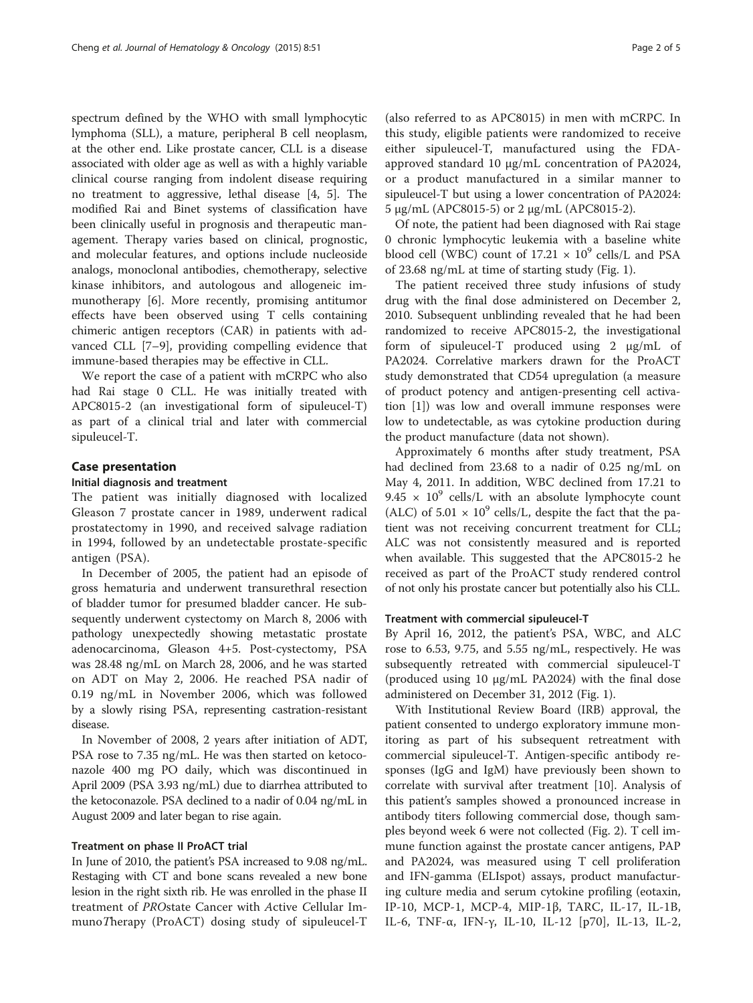spectrum defined by the WHO with small lymphocytic lymphoma (SLL), a mature, peripheral B cell neoplasm, at the other end. Like prostate cancer, CLL is a disease associated with older age as well as with a highly variable clinical course ranging from indolent disease requiring no treatment to aggressive, lethal disease [[4, 5\]](#page-4-0). The modified Rai and Binet systems of classification have been clinically useful in prognosis and therapeutic management. Therapy varies based on clinical, prognostic, and molecular features, and options include nucleoside analogs, monoclonal antibodies, chemotherapy, selective kinase inhibitors, and autologous and allogeneic immunotherapy [[6\]](#page-4-0). More recently, promising antitumor effects have been observed using T cells containing chimeric antigen receptors (CAR) in patients with advanced CLL [\[7](#page-4-0)–[9\]](#page-4-0), providing compelling evidence that immune-based therapies may be effective in CLL.

We report the case of a patient with mCRPC who also had Rai stage 0 CLL. He was initially treated with APC8015-2 (an investigational form of sipuleucel-T) as part of a clinical trial and later with commercial sipuleucel-T.

#### Case presentation

#### Initial diagnosis and treatment

The patient was initially diagnosed with localized Gleason 7 prostate cancer in 1989, underwent radical prostatectomy in 1990, and received salvage radiation in 1994, followed by an undetectable prostate-specific antigen (PSA).

In December of 2005, the patient had an episode of gross hematuria and underwent transurethral resection of bladder tumor for presumed bladder cancer. He subsequently underwent cystectomy on March 8, 2006 with pathology unexpectedly showing metastatic prostate adenocarcinoma, Gleason 4+5. Post-cystectomy, PSA was 28.48 ng/mL on March 28, 2006, and he was started on ADT on May 2, 2006. He reached PSA nadir of 0.19 ng/mL in November 2006, which was followed by a slowly rising PSA, representing castration-resistant disease.

In November of 2008, 2 years after initiation of ADT, PSA rose to 7.35 ng/mL. He was then started on ketoconazole 400 mg PO daily, which was discontinued in April 2009 (PSA 3.93 ng/mL) due to diarrhea attributed to the ketoconazole. PSA declined to a nadir of 0.04 ng/mL in August 2009 and later began to rise again.

### Treatment on phase II ProACT trial

In June of 2010, the patient's PSA increased to 9.08 ng/mL. Restaging with CT and bone scans revealed a new bone lesion in the right sixth rib. He was enrolled in the phase II treatment of PROstate Cancer with Active Cellular ImmunoTherapy (ProACT) dosing study of sipuleucel-T (also referred to as APC8015) in men with mCRPC. In this study, eligible patients were randomized to receive either sipuleucel-T, manufactured using the FDAapproved standard 10 μg/mL concentration of PA2024, or a product manufactured in a similar manner to sipuleucel-T but using a lower concentration of PA2024: 5 μg/mL (APC8015-5) or 2 μg/mL (APC8015-2).

Of note, the patient had been diagnosed with Rai stage 0 chronic lymphocytic leukemia with a baseline white blood cell (WBC) count of  $17.21 \times 10^9$  cells/L and PSA of 23.68 ng/mL at time of starting study (Fig. [1\)](#page-2-0).

The patient received three study infusions of study drug with the final dose administered on December 2, 2010. Subsequent unblinding revealed that he had been randomized to receive APC8015-2, the investigational form of sipuleucel-T produced using 2 μg/mL of PA2024. Correlative markers drawn for the ProACT study demonstrated that CD54 upregulation (a measure of product potency and antigen-presenting cell activation [[1\]](#page-4-0)) was low and overall immune responses were low to undetectable, as was cytokine production during the product manufacture (data not shown).

Approximately 6 months after study treatment, PSA had declined from 23.68 to a nadir of 0.25 ng/mL on May 4, 2011. In addition, WBC declined from 17.21 to 9.45  $\times$  10<sup>9</sup> cells/L with an absolute lymphocyte count (ALC) of  $5.01 \times 10^9$  cells/L, despite the fact that the patient was not receiving concurrent treatment for CLL; ALC was not consistently measured and is reported when available. This suggested that the APC8015-2 he received as part of the ProACT study rendered control of not only his prostate cancer but potentially also his CLL.

#### Treatment with commercial sipuleucel-T

By April 16, 2012, the patient's PSA, WBC, and ALC rose to 6.53, 9.75, and 5.55 ng/mL, respectively. He was subsequently retreated with commercial sipuleucel-T (produced using 10 μg/mL PA2024) with the final dose administered on December 31, 2012 (Fig. [1\)](#page-2-0).

With Institutional Review Board (IRB) approval, the patient consented to undergo exploratory immune monitoring as part of his subsequent retreatment with commercial sipuleucel-T. Antigen-specific antibody responses (IgG and IgM) have previously been shown to correlate with survival after treatment [\[10\]](#page-4-0). Analysis of this patient's samples showed a pronounced increase in antibody titers following commercial dose, though samples beyond week 6 were not collected (Fig. [2\)](#page-2-0). T cell immune function against the prostate cancer antigens, PAP and PA2024, was measured using T cell proliferation and IFN-gamma (ELIspot) assays, product manufacturing culture media and serum cytokine profiling (eotaxin, IP-10, MCP-1, MCP-4, MIP-1β, TARC, IL-17, IL-1B, IL-6, TNF-α, IFN-γ, IL-10, IL-12 [p70], IL-13, IL-2,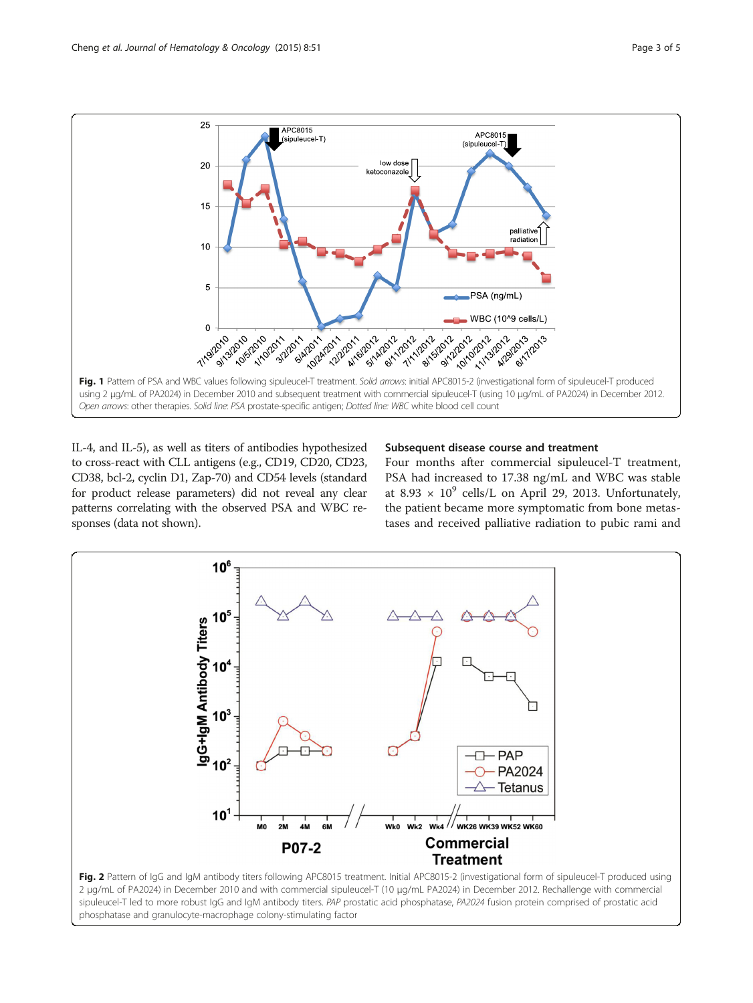<span id="page-2-0"></span>

IL-4, and IL-5), as well as titers of antibodies hypothesized to cross-react with CLL antigens (e.g., CD19, CD20, CD23, CD38, bcl-2, cyclin D1, Zap-70) and CD54 levels (standard for product release parameters) did not reveal any clear patterns correlating with the observed PSA and WBC responses (data not shown).

# Subsequent disease course and treatment

Four months after commercial sipuleucel-T treatment, PSA had increased to 17.38 ng/mL and WBC was stable at 8.93  $\times$  10<sup>9</sup> cells/L on April 29, 2013. Unfortunately, the patient became more symptomatic from bone metastases and received palliative radiation to pubic rami and



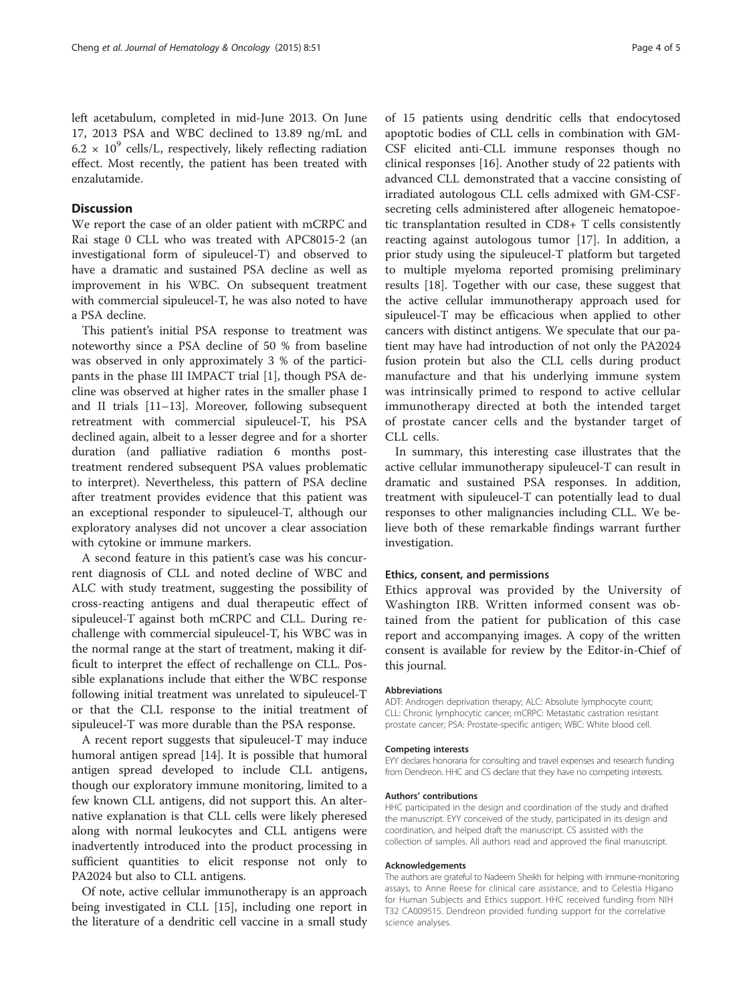left acetabulum, completed in mid-June 2013. On June 17, 2013 PSA and WBC declined to 13.89 ng/mL and  $6.2 \times 10^9$  cells/L, respectively, likely reflecting radiation effect. Most recently, the patient has been treated with enzalutamide.

# **Discussion**

We report the case of an older patient with mCRPC and Rai stage 0 CLL who was treated with APC8015-2 (an investigational form of sipuleucel-T) and observed to have a dramatic and sustained PSA decline as well as improvement in his WBC. On subsequent treatment with commercial sipuleucel-T, he was also noted to have a PSA decline.

This patient's initial PSA response to treatment was noteworthy since a PSA decline of 50 % from baseline was observed in only approximately 3 % of the participants in the phase III IMPACT trial [\[1](#page-4-0)], though PSA decline was observed at higher rates in the smaller phase I and II trials [\[11](#page-4-0)–[13\]](#page-4-0). Moreover, following subsequent retreatment with commercial sipuleucel-T, his PSA declined again, albeit to a lesser degree and for a shorter duration (and palliative radiation 6 months posttreatment rendered subsequent PSA values problematic to interpret). Nevertheless, this pattern of PSA decline after treatment provides evidence that this patient was an exceptional responder to sipuleucel-T, although our exploratory analyses did not uncover a clear association with cytokine or immune markers.

A second feature in this patient's case was his concurrent diagnosis of CLL and noted decline of WBC and ALC with study treatment, suggesting the possibility of cross-reacting antigens and dual therapeutic effect of sipuleucel-T against both mCRPC and CLL. During rechallenge with commercial sipuleucel-T, his WBC was in the normal range at the start of treatment, making it difficult to interpret the effect of rechallenge on CLL. Possible explanations include that either the WBC response following initial treatment was unrelated to sipuleucel-T or that the CLL response to the initial treatment of sipuleucel-T was more durable than the PSA response.

A recent report suggests that sipuleucel-T may induce humoral antigen spread [[14\]](#page-4-0). It is possible that humoral antigen spread developed to include CLL antigens, though our exploratory immune monitoring, limited to a few known CLL antigens, did not support this. An alternative explanation is that CLL cells were likely pheresed along with normal leukocytes and CLL antigens were inadvertently introduced into the product processing in sufficient quantities to elicit response not only to PA2024 but also to CLL antigens.

Of note, active cellular immunotherapy is an approach being investigated in CLL [[15](#page-4-0)], including one report in the literature of a dendritic cell vaccine in a small study

of 15 patients using dendritic cells that endocytosed apoptotic bodies of CLL cells in combination with GM-CSF elicited anti-CLL immune responses though no clinical responses [\[16\]](#page-4-0). Another study of 22 patients with advanced CLL demonstrated that a vaccine consisting of irradiated autologous CLL cells admixed with GM-CSFsecreting cells administered after allogeneic hematopoetic transplantation resulted in CD8+ T cells consistently reacting against autologous tumor [\[17](#page-4-0)]. In addition, a prior study using the sipuleucel-T platform but targeted to multiple myeloma reported promising preliminary results [[18\]](#page-4-0). Together with our case, these suggest that the active cellular immunotherapy approach used for sipuleucel-T may be efficacious when applied to other cancers with distinct antigens. We speculate that our patient may have had introduction of not only the PA2024 fusion protein but also the CLL cells during product manufacture and that his underlying immune system was intrinsically primed to respond to active cellular immunotherapy directed at both the intended target of prostate cancer cells and the bystander target of CLL cells.

In summary, this interesting case illustrates that the active cellular immunotherapy sipuleucel-T can result in dramatic and sustained PSA responses. In addition, treatment with sipuleucel-T can potentially lead to dual responses to other malignancies including CLL. We believe both of these remarkable findings warrant further investigation.

## Ethics, consent, and permissions

Ethics approval was provided by the University of Washington IRB. Written informed consent was obtained from the patient for publication of this case report and accompanying images. A copy of the written consent is available for review by the Editor-in-Chief of this journal.

#### Abbreviations

ADT: Androgen deprivation therapy; ALC: Absolute lymphocyte count; CLL: Chronic lymphocytic cancer; mCRPC: Metastatic castration resistant prostate cancer; PSA: Prostate-specific antigen; WBC: White blood cell.

#### Competing interests

EYY declares honoraria for consulting and travel expenses and research funding from Dendreon. HHC and CS declare that they have no competing interests.

#### Authors' contributions

HHC participated in the design and coordination of the study and drafted the manuscript. EYY conceived of the study, participated in its design and coordination, and helped draft the manuscript. CS assisted with the collection of samples. All authors read and approved the final manuscript.

#### Acknowledgements

The authors are grateful to Nadeem Sheikh for helping with immune-monitoring assays, to Anne Reese for clinical care assistance, and to Celestia Higano for Human Subjects and Ethics support. HHC received funding from NIH T32 CA009515. Dendreon provided funding support for the correlative science analyses.